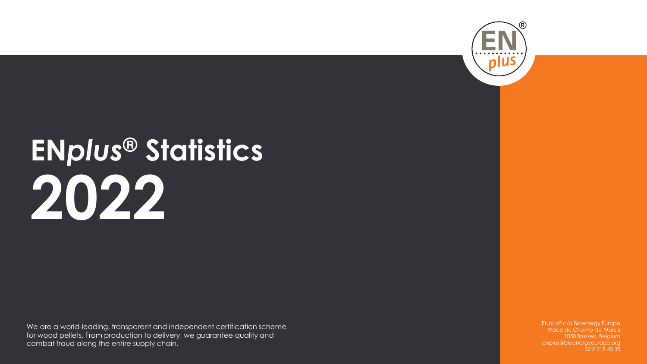

# **EN***plus***® Statistics 2022**

We are a world-leading, transparent and independent certification scheme for wood pellets. From production to delivery, we guarantee quality and combat fraud along the entire supply chain.

EN*plus*® c/o Bioenergy Europe Place du Champ de Mars 2 1050 Brussels, Belgium enplus@bioenergyeurope.org +32 2 318 40 35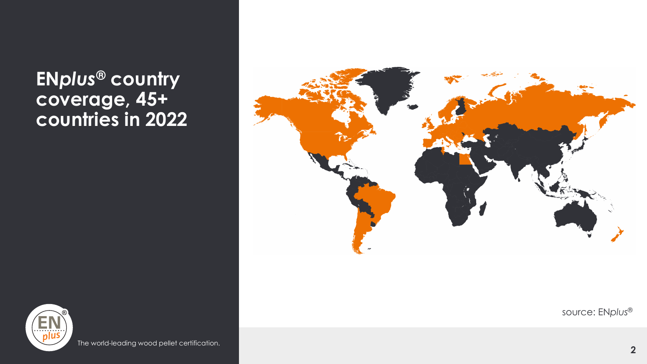## **EN***plus***® country coverage, 45+ countries in 2022**





The world-leading wood pellet certification.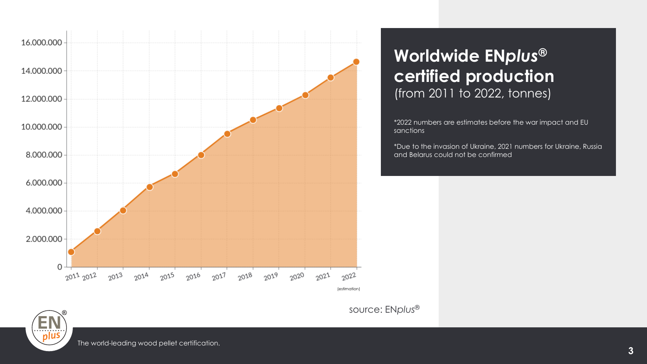

## **Worldwide EN***plus***® certified production** (from 2011 to 2022, tonnes)

\*2022 numbers are estimates before the war impact and EU sanctions

\*Due to the invasion of Ukraine, 2021 numbers for Ukraine, Russia and Belarus could not be confirmed

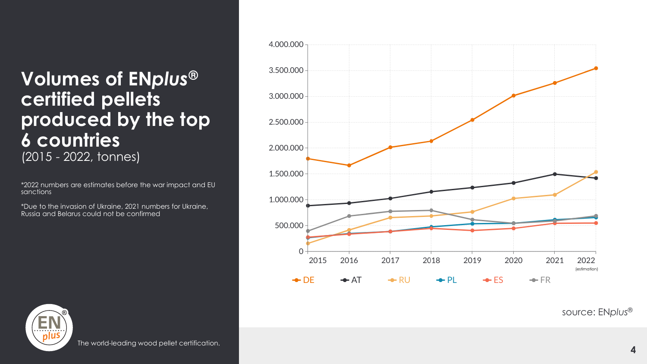## **Volumes of EN***plus* **® certified pellets produced by the top 6 countries**  (2015 - 2022, tonnes)

\*2022 numbers are estimates before the war impact and EU sanctions

\*Due to the invasion of Ukraine, 2021 numbers for Ukraine, Russia and Belarus could not be confirmed





The world -leading wood pellet certification.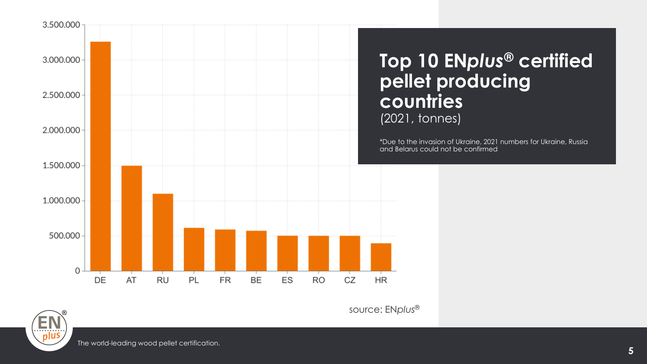

source: EN*plus*®

EŅ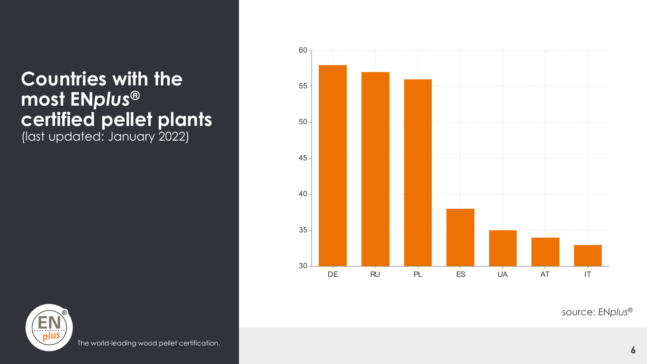# **Countries with the most EN***plus***® certified pellet plants**

(last updated: January 2022)





The world-leading wood pellet certification.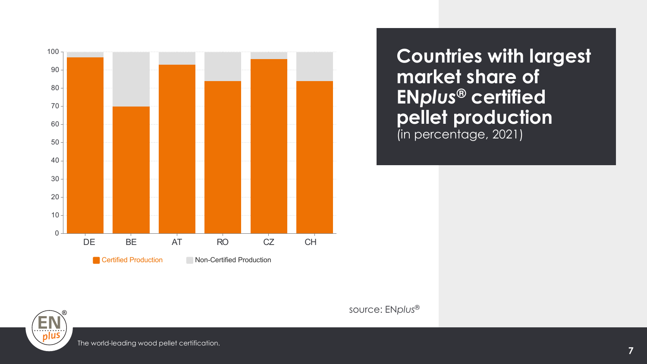

**Countries with largest market share of EN***plus***® certified pellet production**  (in percentage, 2021)



The world-leading wood pellet certification.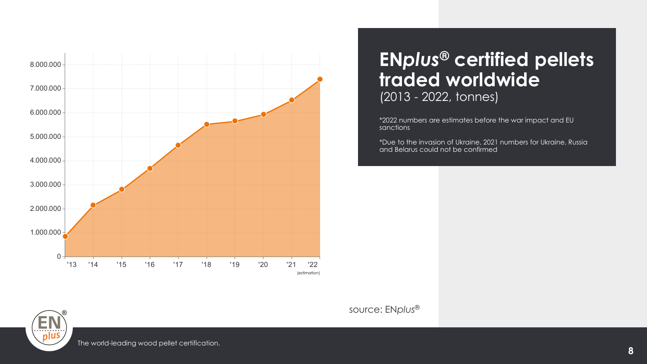

### **EN***plus***® certified pellets traded worldwide**  (2013 - 2022, tonnes)

\*2022 numbers are estimates before the war impact and EU sanctions

\*Due to the invasion of Ukraine, 2021 numbers for Ukraine, Russia and Belarus could not be confirmed

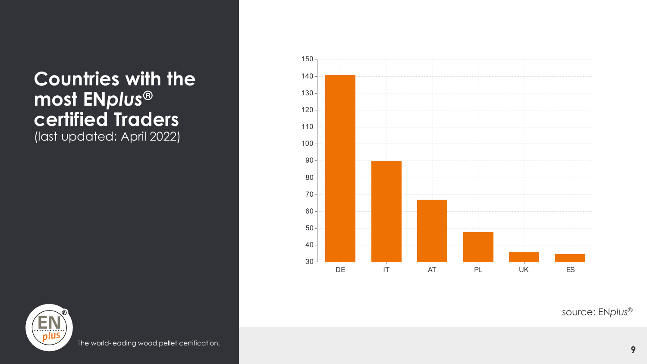## **Countries with the most EN***plus***® certified Traders**  (last updated: April 2022)

 DE IT AT PL UK ES



The world-leading wood pellet certification.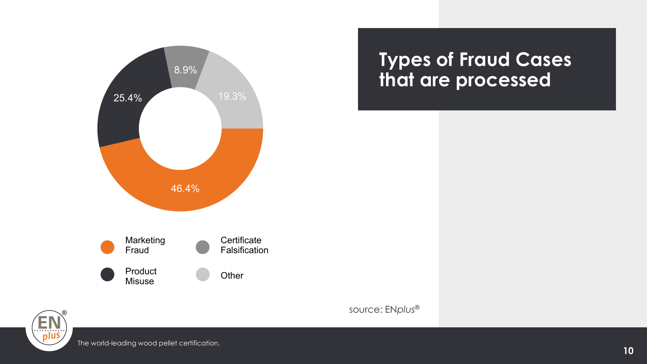

## **Types of Fraud Cases that are processed**